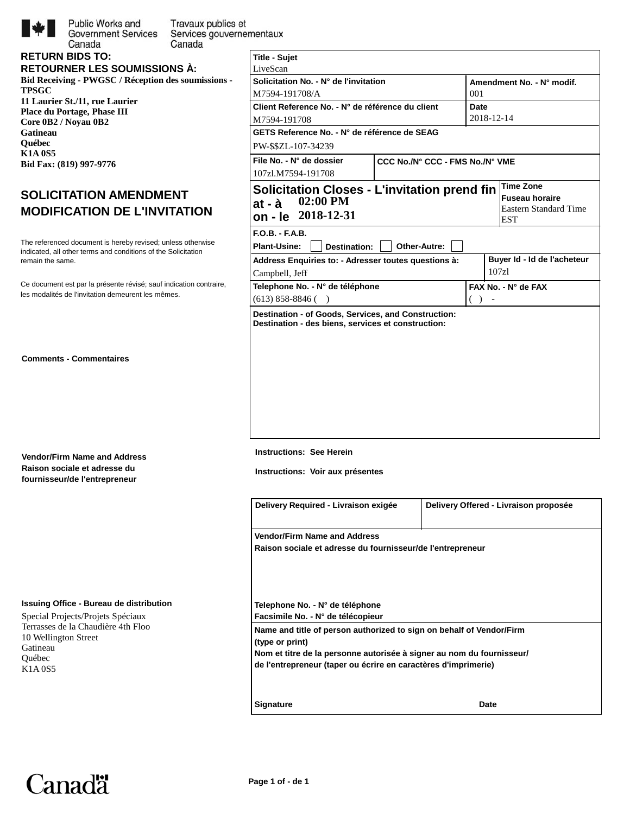

**RETURN BIDS TO:**

Canada

Public Works and Travaux publics et **Government Services** Services gouvernementaux Canada

| . |                                     |  |
|---|-------------------------------------|--|
|   | <b>RETOURNER LES SOUMISSIONS À:</b> |  |

**Bid Receiving - PWGSC / Réception des soumissions - TPSGC 11 Laurier St./11, rue Laurier Place du Portage, Phase III Core 0B2 / Noyau 0B2 Gatineau Québec K1A 0S5 Bid Fax: (819) 997-9776**

## **SOLICITATION AMENDMENT MODIFICATION DE L'INVITATION**

remain the same. The referenced document is hereby revised; unless otherwise indicated, all other terms and conditions of the Solicitation

les modalités de l'invitation demeurent les mêmes. Ce document est par la présente révisé; sauf indication contraire,

**Comments - Commentaires**

**Vendor/Firm Name and Address Raison sociale et adresse du fournisseur/de l'entrepreneur**

## **Issuing Office - Bureau de distribution**

Special Projects/Projets Spéciaux Terrasses de la Chaudière 4th Floo 10 Wellington Street Gatineau Québec K1A 0S5

| <b>Title - Sujet</b>                                                                                      |                                 |                     |                                            |  |
|-----------------------------------------------------------------------------------------------------------|---------------------------------|---------------------|--------------------------------------------|--|
| LiveScan                                                                                                  |                                 |                     |                                            |  |
| Solicitation No. - N° de l'invitation                                                                     |                                 |                     | Amendment No. - N° modif.                  |  |
| M7594-191708/A                                                                                            |                                 | 001                 |                                            |  |
| Client Reference No. - N° de référence du client                                                          |                                 | Date                |                                            |  |
| M7594-191708                                                                                              |                                 |                     | 2018-12-14                                 |  |
| GETS Reference No. - N° de référence de SEAG                                                              |                                 |                     |                                            |  |
| PW-\$\$ZL-107-34239                                                                                       |                                 |                     |                                            |  |
| File No. - N° de dossier                                                                                  | CCC No./N° CCC - FMS No./N° VME |                     |                                            |  |
| 107zl.M7594-191708                                                                                        |                                 |                     |                                            |  |
| <b>Solicitation Closes - L'invitation prend fin</b>                                                       |                                 |                     | <b>Time Zone</b>                           |  |
| $02:00$ PM<br>at - à                                                                                      |                                 |                     | <b>Fuseau horaire</b>                      |  |
| on - le 2018-12-31                                                                                        |                                 |                     | <b>Eastern Standard Time</b><br><b>EST</b> |  |
|                                                                                                           |                                 |                     |                                            |  |
| $F.O.B. - F.A.B.$                                                                                         |                                 |                     |                                            |  |
| <b>Plant-Usine:</b><br><b>Destination:</b>                                                                | Other-Autre:                    |                     |                                            |  |
| Address Enquiries to: - Adresser toutes questions à:                                                      |                                 |                     | Buyer Id - Id de l'acheteur<br>107z1       |  |
| Campbell, Jeff                                                                                            |                                 |                     |                                            |  |
| Telephone No. - N° de téléphone                                                                           |                                 | FAX No. - N° de FAX |                                            |  |
| $(613)$ 858-8846 ()                                                                                       |                                 | (<br>$\lambda$      |                                            |  |
| Destination - of Goods, Services, and Construction:<br>Destination - des biens, services et construction: |                                 |                     |                                            |  |
|                                                                                                           |                                 |                     |                                            |  |
|                                                                                                           |                                 |                     |                                            |  |
|                                                                                                           |                                 |                     |                                            |  |
|                                                                                                           |                                 |                     |                                            |  |
|                                                                                                           |                                 |                     |                                            |  |
|                                                                                                           |                                 |                     |                                            |  |
|                                                                                                           |                                 |                     |                                            |  |
|                                                                                                           |                                 |                     |                                            |  |
|                                                                                                           |                                 |                     |                                            |  |

**Instructions: See Herein**

**Instructions: Voir aux présentes**

| Delivery Required - Livraison exigée                                                                                                                             | Delivery Offered - Livraison proposée |  |  |  |  |
|------------------------------------------------------------------------------------------------------------------------------------------------------------------|---------------------------------------|--|--|--|--|
| <b>Vendor/Firm Name and Address</b>                                                                                                                              |                                       |  |  |  |  |
| Raison sociale et adresse du fournisseur/de l'entrepreneur                                                                                                       |                                       |  |  |  |  |
| Telephone No. - N° de téléphone<br>Facsimile No. - N° de télécopieur                                                                                             |                                       |  |  |  |  |
| Name and title of person authorized to sign on behalf of Vendor/Firm<br>(type or print)<br>Nom et titre de la personne autorisée à signer au nom du fournisseur/ |                                       |  |  |  |  |
| de l'entrepreneur (taper ou écrire en caractères d'imprimerie)                                                                                                   |                                       |  |  |  |  |
| <b>Signature</b>                                                                                                                                                 | Date                                  |  |  |  |  |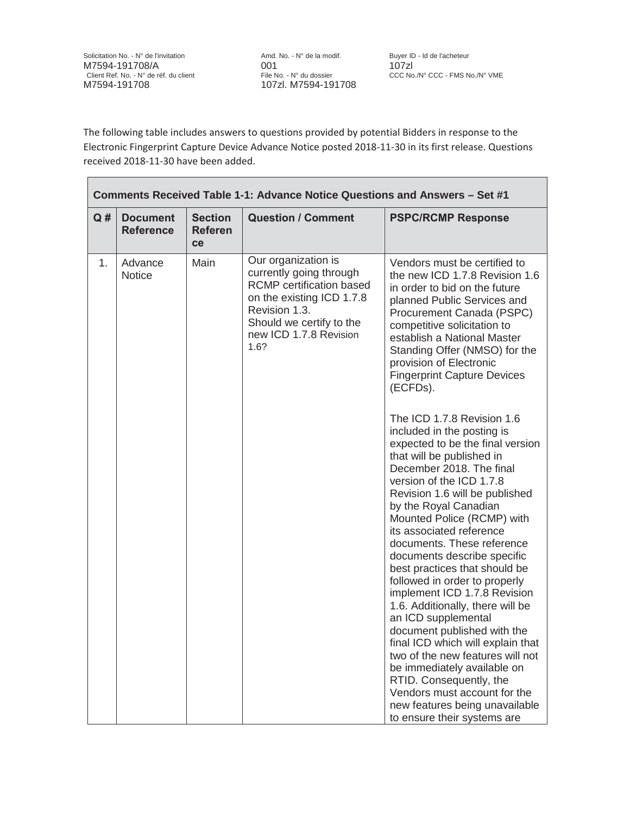Solicitation No. - N° de l'invitation Amd. No. - N° de la modif. Buyer ID - Id de l'acheteur M7594-191708/A<br>Client Client Client File No. - N° du dossier CCC No./N° CCC - FMS No./N° VME<br>CCC No./N° CCC - FMS No./N° VME Client Ref. No. - N° de réf. du client<br>M7594-191708

107zl. M7594-191708

The following table includes answers to questions provided by potential Bidders in response to the Electronic Fingerprint Capture Device Advance Notice posted 2018-11-30 in its first release. Questions received 2018-11-30 have been added.

| Comments Received Table 1-1: Advance Notice Questions and Answers - Set #1 |                                     |                                                                                                                                                                                               |                                                                                                                                                                                                                                                                                                                                         |                                                                                                                                                                                                                                                                                                                                                                                                                                                                                                                                                                                                                                                                                                                                                                                                     |
|----------------------------------------------------------------------------|-------------------------------------|-----------------------------------------------------------------------------------------------------------------------------------------------------------------------------------------------|-----------------------------------------------------------------------------------------------------------------------------------------------------------------------------------------------------------------------------------------------------------------------------------------------------------------------------------------|-----------------------------------------------------------------------------------------------------------------------------------------------------------------------------------------------------------------------------------------------------------------------------------------------------------------------------------------------------------------------------------------------------------------------------------------------------------------------------------------------------------------------------------------------------------------------------------------------------------------------------------------------------------------------------------------------------------------------------------------------------------------------------------------------------|
| Q#                                                                         | <b>Document</b><br><b>Reference</b> | <b>Section</b><br><b>Referen</b><br>ce                                                                                                                                                        | <b>Question / Comment</b>                                                                                                                                                                                                                                                                                                               | <b>PSPC/RCMP Response</b>                                                                                                                                                                                                                                                                                                                                                                                                                                                                                                                                                                                                                                                                                                                                                                           |
| 1.                                                                         | Main<br>Advance<br><b>Notice</b>    | Our organization is<br>currently going through<br><b>RCMP</b> certification based<br>on the existing ICD 1.7.8<br>Revision 1.3.<br>Should we certify to the<br>new ICD 1.7.8 Revision<br>1.6? | Vendors must be certified to<br>the new ICD 1.7.8 Revision 1.6<br>in order to bid on the future<br>planned Public Services and<br>Procurement Canada (PSPC)<br>competitive solicitation to<br>establish a National Master<br>Standing Offer (NMSO) for the<br>provision of Electronic<br><b>Fingerprint Capture Devices</b><br>(ECFDs). |                                                                                                                                                                                                                                                                                                                                                                                                                                                                                                                                                                                                                                                                                                                                                                                                     |
|                                                                            |                                     |                                                                                                                                                                                               |                                                                                                                                                                                                                                                                                                                                         | The ICD 1.7.8 Revision 1.6<br>included in the posting is<br>expected to be the final version<br>that will be published in<br>December 2018. The final<br>version of the ICD 1.7.8<br>Revision 1.6 will be published<br>by the Royal Canadian<br>Mounted Police (RCMP) with<br>its associated reference<br>documents. These reference<br>documents describe specific<br>best practices that should be<br>followed in order to properly<br>implement ICD 1.7.8 Revision<br>1.6. Additionally, there will be<br>an ICD supplemental<br>document published with the<br>final ICD which will explain that<br>two of the new features will not<br>be immediately available on<br>RTID. Consequently, the<br>Vendors must account for the<br>new features being unavailable<br>to ensure their systems are |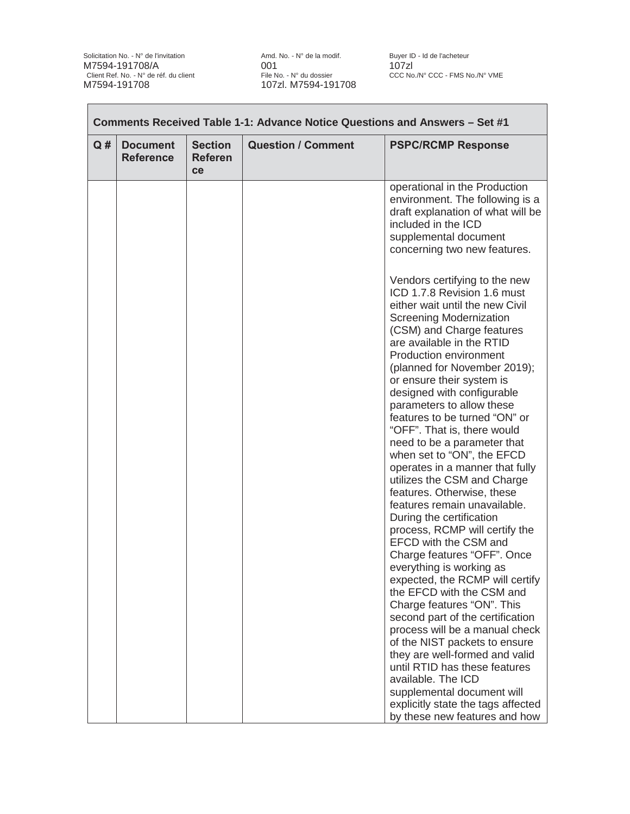Solicitation No. - N° de l'invitation American Amd. No. - N° de la modif. Buyer ID - Id de l'acheteur M7594-191708/A 001 001 107zl<br>Client Ref. No. - N° de réf. du client File No. - N° du dossier CCC No. Client Ref. No. - N° de réf. du client<br>M7594-191708

File No. - N° du dossier CCC No./N° CCC - FMS No./N° VME<br>107zl. M7594-191708

| Q# | <b>Document</b><br><b>Reference</b> | <b>Section</b><br><b>Referen</b><br>ce | <b>Question / Comment</b> | <b>PSPC/RCMP Response</b>                                                                                                                                                                                                                                                                                                                                                                                                                                                                                                                                                                                                                                                                                                                                                                                                                                                                                                                                                                                                                                                                |
|----|-------------------------------------|----------------------------------------|---------------------------|------------------------------------------------------------------------------------------------------------------------------------------------------------------------------------------------------------------------------------------------------------------------------------------------------------------------------------------------------------------------------------------------------------------------------------------------------------------------------------------------------------------------------------------------------------------------------------------------------------------------------------------------------------------------------------------------------------------------------------------------------------------------------------------------------------------------------------------------------------------------------------------------------------------------------------------------------------------------------------------------------------------------------------------------------------------------------------------|
|    |                                     |                                        |                           | operational in the Production<br>environment. The following is a<br>draft explanation of what will be<br>included in the ICD<br>supplemental document<br>concerning two new features.                                                                                                                                                                                                                                                                                                                                                                                                                                                                                                                                                                                                                                                                                                                                                                                                                                                                                                    |
|    |                                     |                                        |                           | Vendors certifying to the new<br>ICD 1.7.8 Revision 1.6 must<br>either wait until the new Civil<br><b>Screening Modernization</b><br>(CSM) and Charge features<br>are available in the RTID<br>Production environment<br>(planned for November 2019);<br>or ensure their system is<br>designed with configurable<br>parameters to allow these<br>features to be turned "ON" or<br>"OFF". That is, there would<br>need to be a parameter that<br>when set to "ON", the EFCD<br>operates in a manner that fully<br>utilizes the CSM and Charge<br>features. Otherwise, these<br>features remain unavailable.<br>During the certification<br>process, RCMP will certify the<br>EFCD with the CSM and<br>Charge features "OFF". Once<br>everything is working as<br>expected, the RCMP will certify<br>the EFCD with the CSM and<br>Charge features "ON". This<br>second part of the certification<br>process will be a manual check<br>of the NIST packets to ensure<br>they are well-formed and valid<br>until RTID has these features<br>available. The ICD<br>supplemental document will |